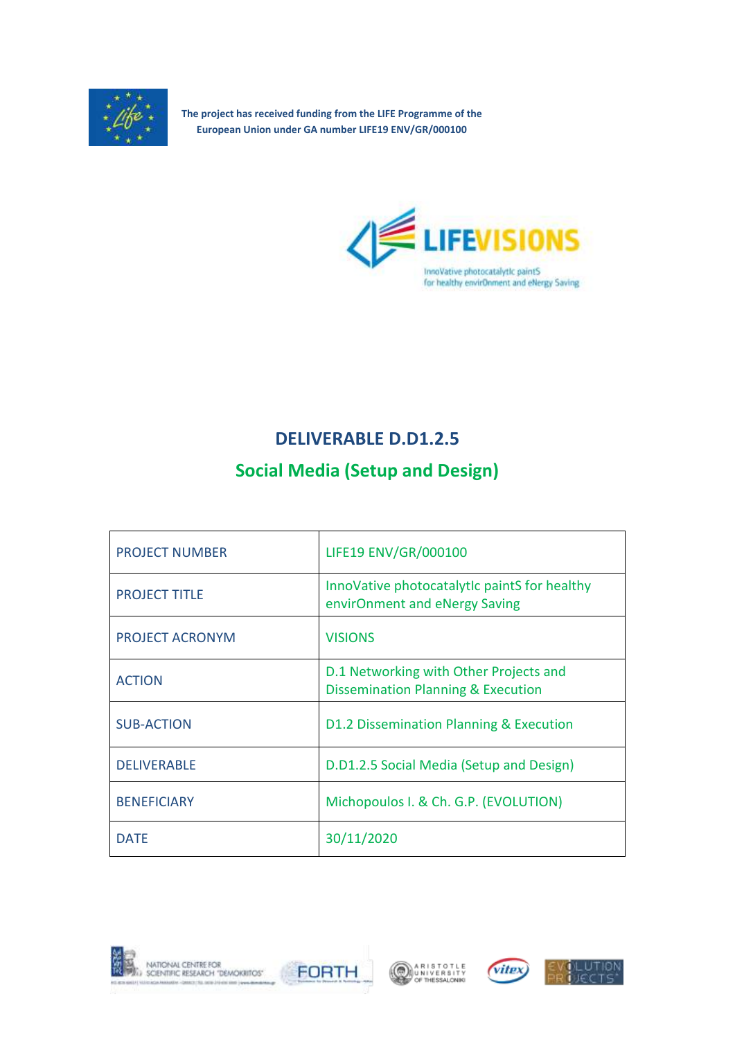

**The project has received funding from the LIFE Programme of the European Union under GA number LIFE19 ENV/GR/000100**



## **DELIVERABLE D.D1.2.5**

# **Social Media (Setup and Design)**

| <b>PROJECT NUMBER</b> | LIFE19 ENV/GR/000100                                                                    |
|-----------------------|-----------------------------------------------------------------------------------------|
| <b>PROJECT TITLE</b>  | InnoVative photocatalytic paintS for healthy<br>envirOnment and eNergy Saving           |
| PROJECT ACRONYM       | <b>VISIONS</b>                                                                          |
| <b>ACTION</b>         | D.1 Networking with Other Projects and<br><b>Dissemination Planning &amp; Execution</b> |
| <b>SUB-ACTION</b>     | D1.2 Dissemination Planning & Execution                                                 |
| <b>DELIVERABLE</b>    | D.D1.2.5 Social Media (Setup and Design)                                                |
| <b>BENEFICIARY</b>    | Michopoulos I. & Ch. G.P. (EVOLUTION)                                                   |
| <b>DATE</b>           | 30/11/2020                                                                              |









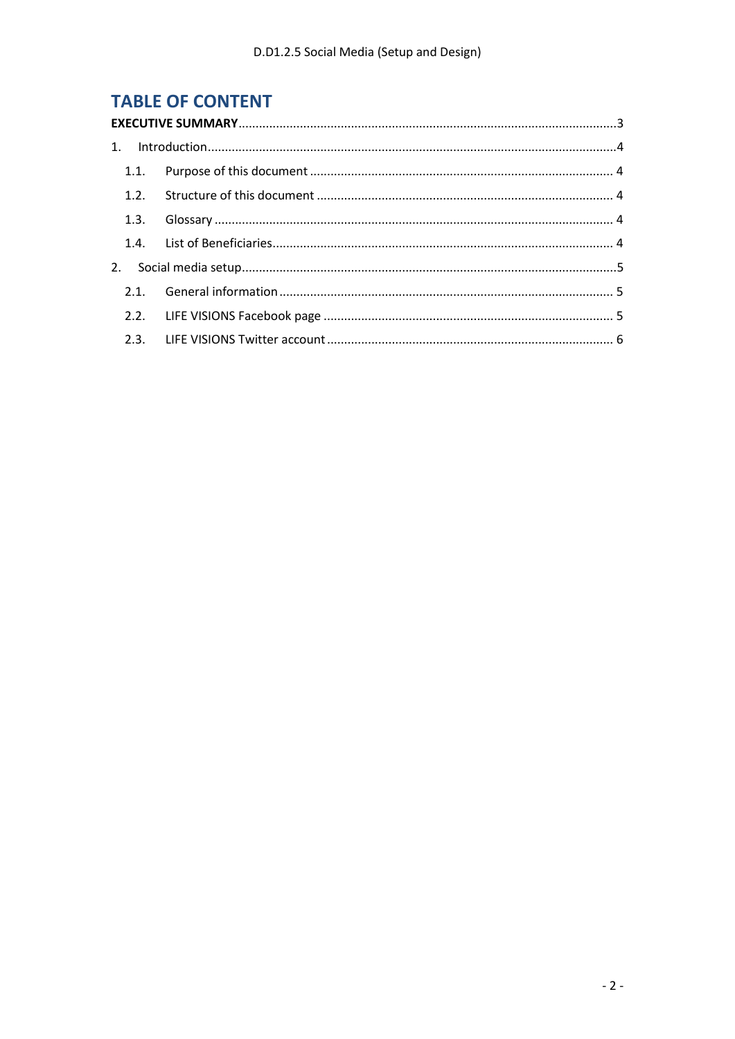## **TABLE OF CONTENT**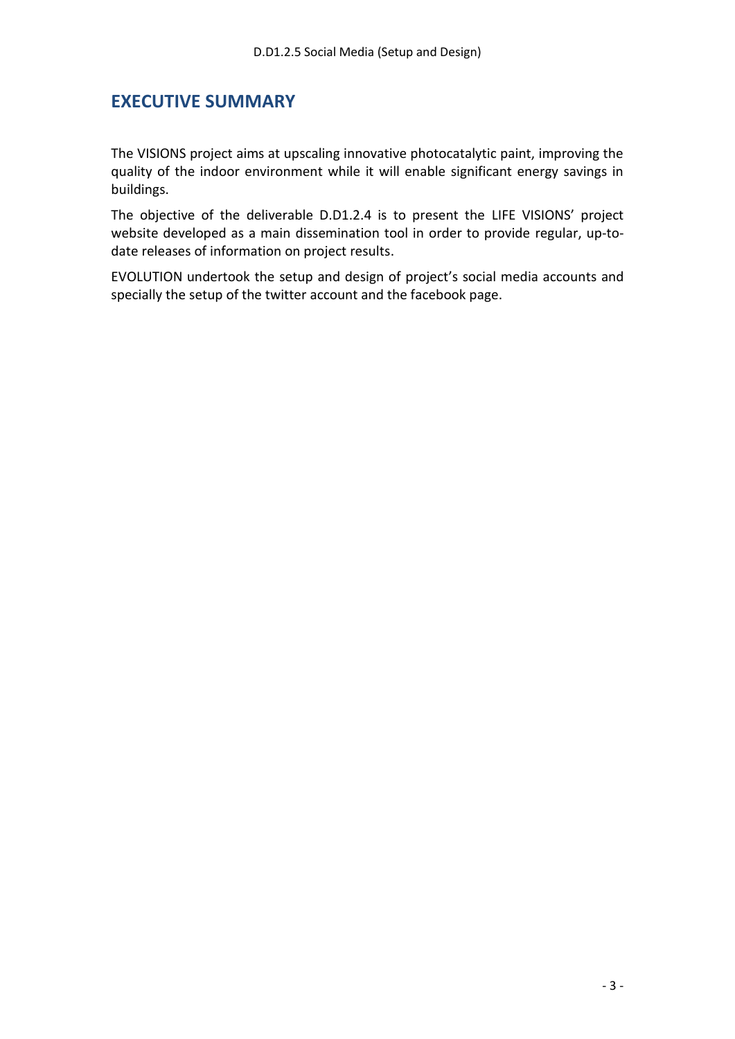#### <span id="page-2-0"></span>**EXECUTIVE SUMMARY**

The VISIONS project aims at upscaling innovative photocatalytic paint, improving the quality of the indoor environment while it will enable significant energy savings in buildings.

The objective of the deliverable D.D1.2.4 is to present the LIFE VISIONS' project website developed as a main dissemination tool in order to provide regular, up-todate releases of information on project results.

EVOLUTION undertook the setup and design of project's social media accounts and specially the setup of the twitter account and the facebook page.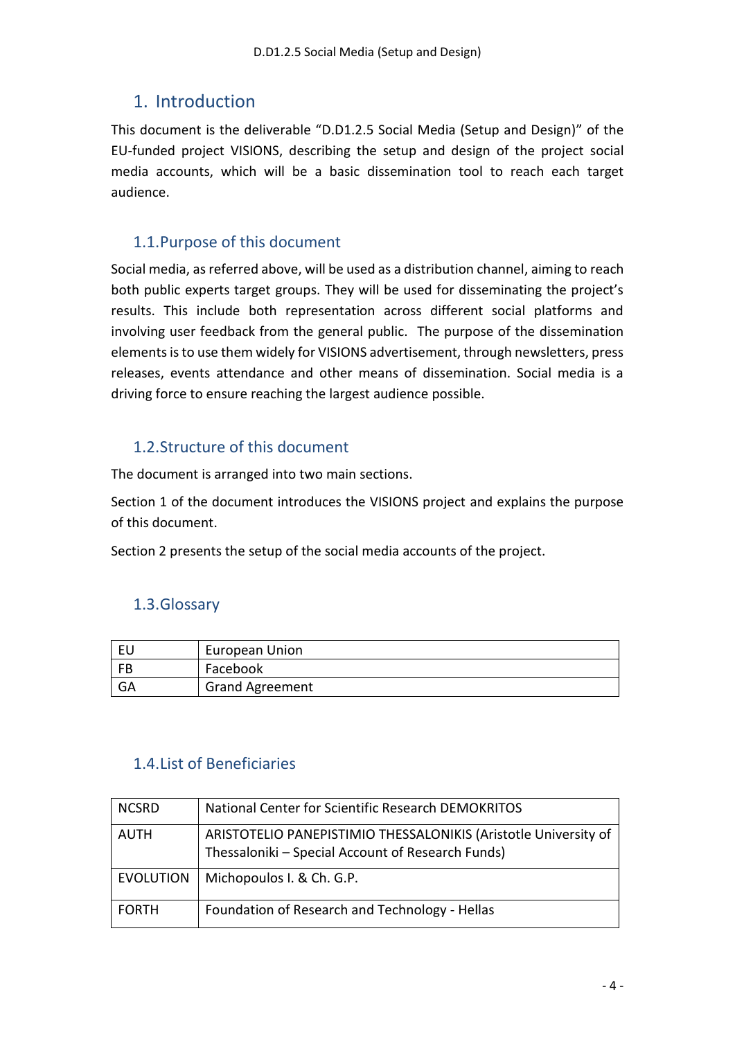## <span id="page-3-0"></span>1. Introduction

This document is the deliverable "D.D1.2.5 Social Media (Setup and Design)" of the EU‐funded project VISIONS, describing the setup and design of the project social media accounts, which will be a basic dissemination tool to reach each target audience.

### <span id="page-3-1"></span>1.1.Purpose of this document

Social media, as referred above, will be used as a distribution channel, aiming to reach both public experts target groups. They will be used for disseminating the project's results. This include both representation across different social platforms and involving user feedback from the general public. The purpose of the dissemination elements is to use them widely for VISIONS advertisement, through newsletters, press releases, events attendance and other means of dissemination. Social media is a driving force to ensure reaching the largest audience possible.

#### <span id="page-3-2"></span>1.2.Structure of this document

The document is arranged into two main sections.

Section 1 of the document introduces the VISIONS project and explains the purpose of this document.

Section 2 presents the setup of the social media accounts of the project.

#### <span id="page-3-3"></span>1.3.Glossary

| EU        | European Union         |
|-----------|------------------------|
| <b>FB</b> | Facebook               |
| GA        | <b>Grand Agreement</b> |

#### <span id="page-3-4"></span>1.4.List of Beneficiaries

| <b>NCSRD</b>     | National Center for Scientific Research DEMOKRITOS                                                                   |
|------------------|----------------------------------------------------------------------------------------------------------------------|
| <b>AUTH</b>      | ARISTOTELIO PANEPISTIMIO THESSALONIKIS (Aristotle University of<br>Thessaloniki - Special Account of Research Funds) |
| <b>EVOLUTION</b> | Michopoulos I. & Ch. G.P.                                                                                            |
| <b>FORTH</b>     | Foundation of Research and Technology - Hellas                                                                       |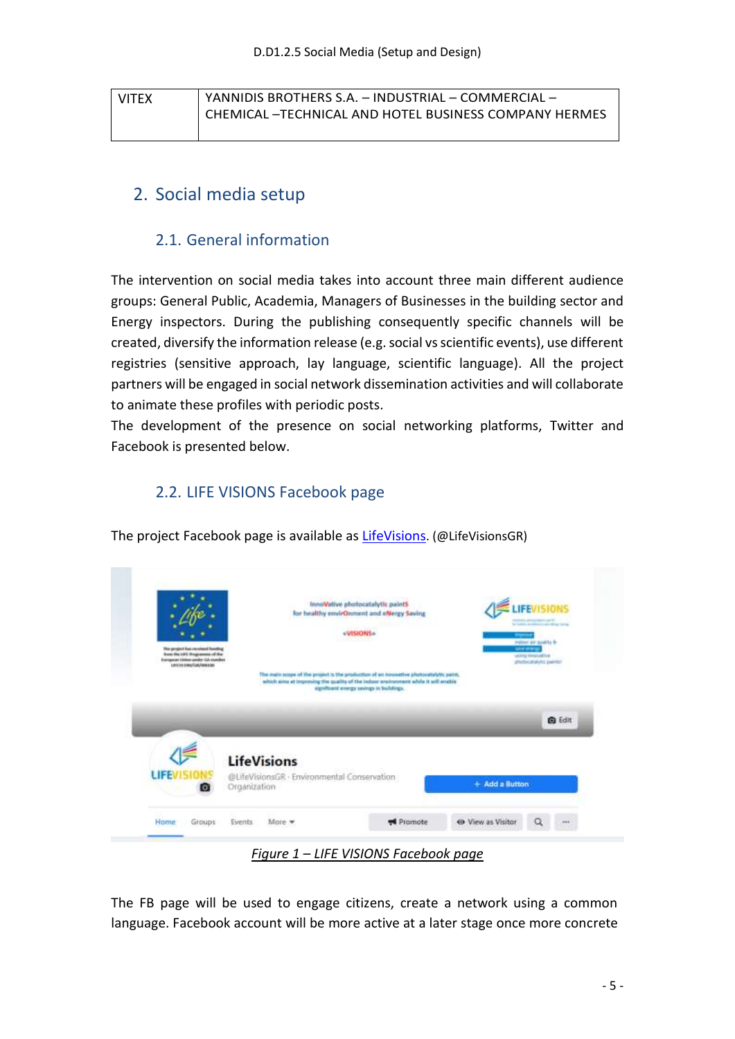| <b>VITEX</b> | YANNIDIS BROTHERS S.A. - INDUSTRIAL - COMMERCIAL -   |  |
|--------------|------------------------------------------------------|--|
|              | CHEMICAL-TECHNICAL AND HOTEL BUSINESS COMPANY HERMES |  |

## <span id="page-4-0"></span>2. Social media setup

#### 2.1. General information

<span id="page-4-1"></span>The intervention on social media takes into account three main different audience groups: General Public, Academia, Managers of Businesses in the building sector and Energy inspectors. During the publishing consequently specific channels will be created, diversify the information release (e.g. social vs scientific events), use different registries (sensitive approach, lay language, scientific language). All the project partners will be engaged in social network dissemination activities and will collaborate to animate these profiles with periodic posts.

The development of the presence on social networking platforms, Twitter and Facebook is presented below.

#### <span id="page-4-2"></span>2.2. LIFE VISIONS Facebook page

The project Facebook page is available as [LifeVisions](https://www.facebook.com/LifeVisionsGR/). (@LifeVisionsGR)



The FB page will be used to engage citizens, create a network using a common language. Facebook account will be more active at a later stage once more concrete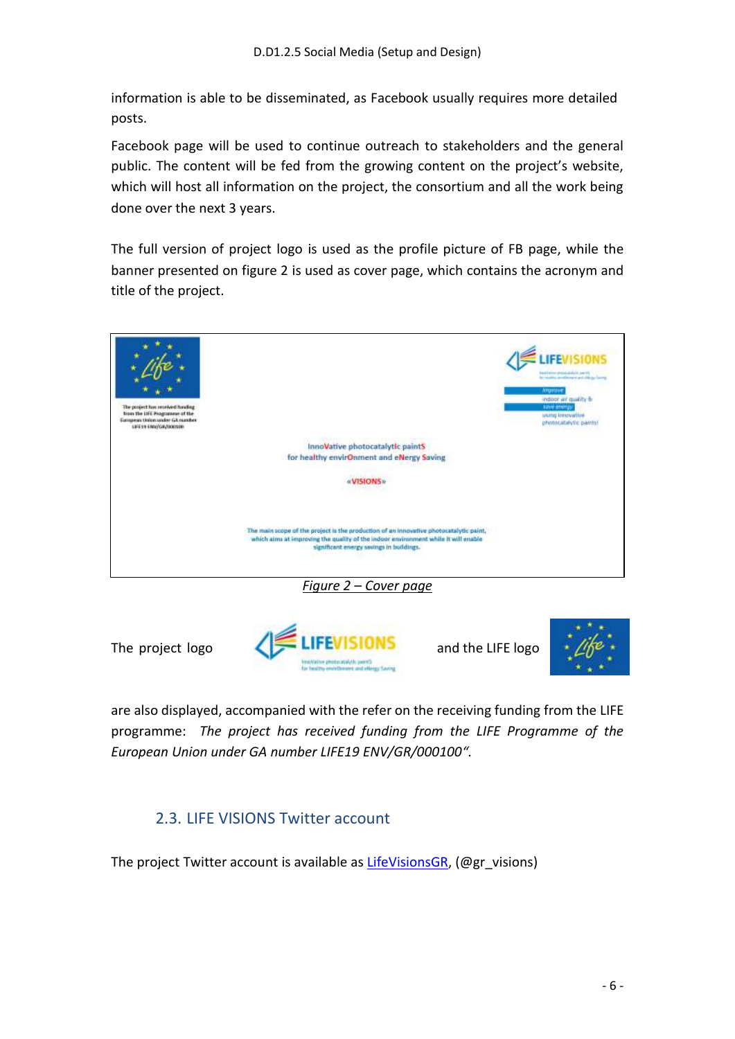information is able to be disseminated, as Facebook usually requires more detailed posts.

Facebook page will be used to continue outreach to stakeholders and the general public. The content will be fed from the growing content on the project's website, which will host all information on the project, the consortium and all the work being done over the next 3 years.

The full version of project logo is used as the profile picture of FB page, while the banner presented on figure 2 is used as cover page, which contains the acronym and title of the project.







are also displayed, accompanied with the refer on the receiving funding from the LIFE programme: *The project has received funding from the LIFE Programme of the European Union under GA number LIFE19 ENV/GR/000100".*

## <span id="page-5-0"></span>2.3. LIFE VISIONS Twitter account

The project Twitter account is available as [LifeVisionsGR,](https://twitter.com/gr_visions) (@gr\_visions)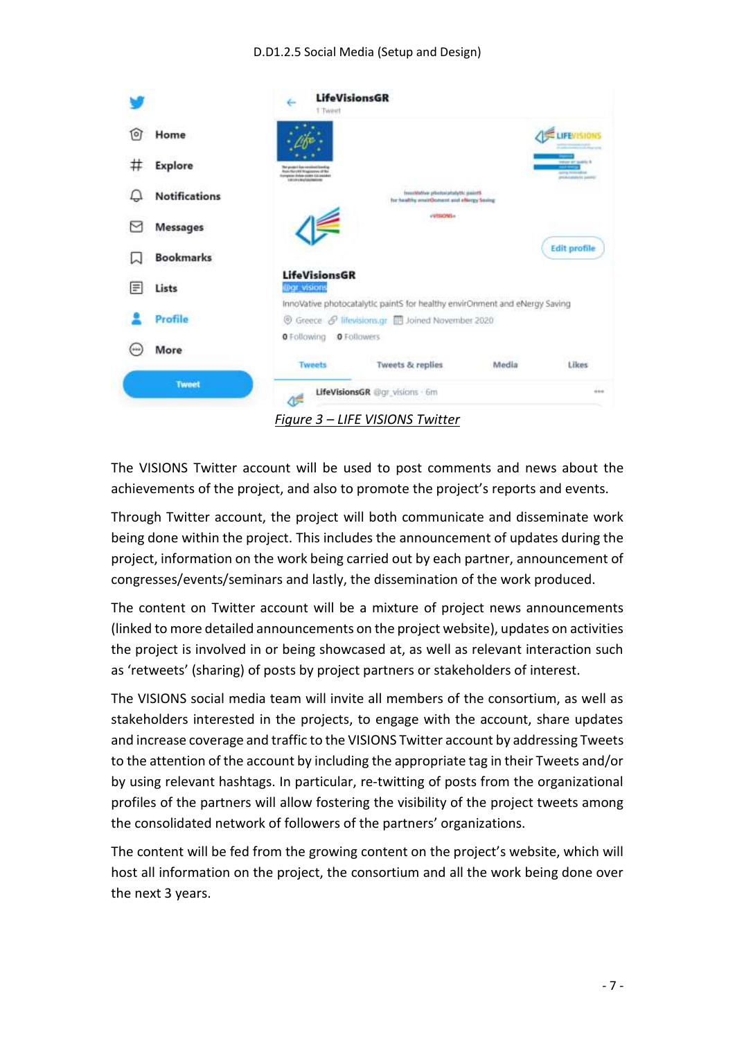

The VISIONS Twitter account will be used to post comments and news about the achievements of the project, and also to promote the project's reports and events.

Through Twitter account, the project will both communicate and disseminate work being done within the project. This includes the announcement of updates during the project, information on the work being carried out by each partner, announcement of congresses/events/seminars and lastly, the dissemination of the work produced.

The content on Twitter account will be a mixture of project news announcements (linked to more detailed announcements on the project website), updates on activities the project is involved in or being showcased at, as well as relevant interaction such as 'retweets' (sharing) of posts by project partners or stakeholders of interest.

The VISIONS social media team will invite all members of the consortium, as well as stakeholders interested in the projects, to engage with the account, share updates and increase coverage and traffic to the VISIONS Twitter account by addressing Tweets to the attention of the account by including the appropriate tag in their Tweets and/or by using relevant hashtags. In particular, re‐twitting of posts from the organizational profiles of the partners will allow fostering the visibility of the project tweets among the consolidated network of followers of the partners' organizations.

The content will be fed from the growing content on the project's website, which will host all information on the project, the consortium and all the work being done over the next 3 years.